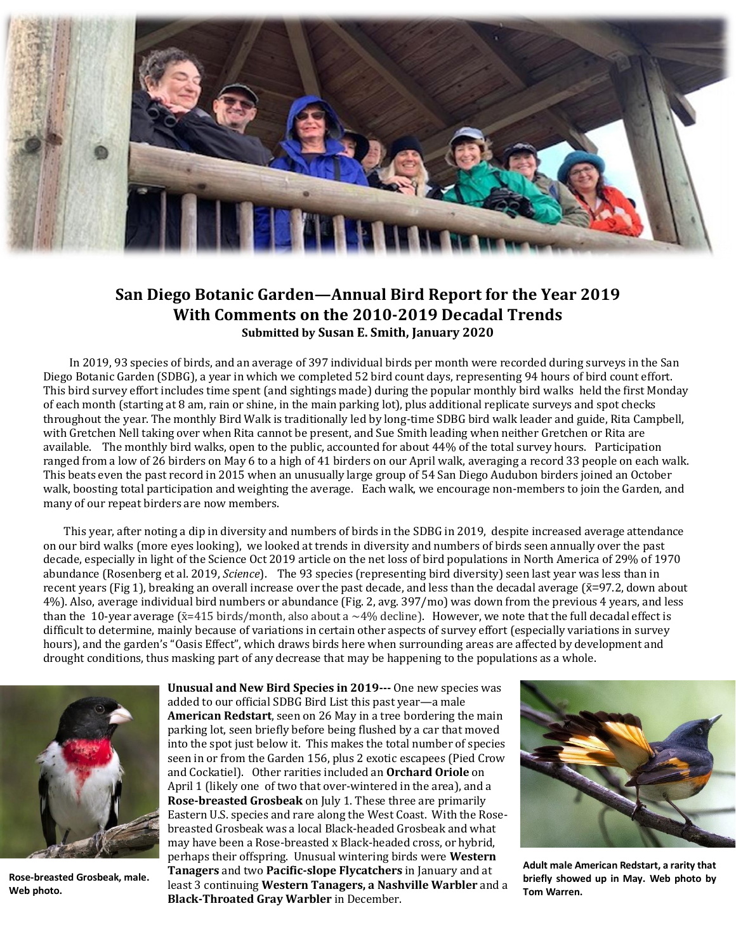

## **San Diego Botanic Garden—Annual Bird Report for the Year 2019 With Comments on the 2010-2019 Decadal Trends Submitted by Susan E. Smith, January 2020**

 In 2019, 93 species of birds, and an average of 397 individual birds per month were recorded during surveys in the San Diego Botanic Garden (SDBG), a year in which we completed 52 bird count days, representing 94 hours of bird count effort. This bird survey effort includes time spent (and sightings made) during the popular monthly bird walks held the first Monday of each month (starting at 8 am, rain or shine, in the main parking lot), plus additional replicate surveys and spot checks throughout the year. The monthly Bird Walk is traditionally led by long-time SDBG bird walk leader and guide, Rita Campbell, with Gretchen Nell taking over when Rita cannot be present, and Sue Smith leading when neither Gretchen or Rita are available. The monthly bird walks, open to the public, accounted for about 44% of the total survey hours. Participation ranged from a low of 26 birders on May 6 to a high of 41 birders on our April walk, averaging a record 33 people on each walk. This beats even the past record in 2015 when an unusually large group of 54 San Diego Audubon birders joined an October walk, boosting total participation and weighting the average. Each walk, we encourage non-members to join the Garden, and many of our repeat birders are now members.

 This year, after noting a dip in diversity and numbers of birds in the SDBG in 2019, despite increased average attendance on our bird walks (more eyes looking), we looked at trends in diversity and numbers of birds seen annually over the past decade, especially in light of the Science Oct 2019 article on the net loss of bird populations in North America of 29% of 1970 abundance (Rosenberg et al. 2019, *Science*). The 93 species (representing bird diversity) seen last year was less than in recent years (Fig 1), breaking an overall increase over the past decade, and less than the decadal average ( $\bar{x}$ =97.2, down about 4%). Also, average individual bird numbers or abundance (Fig. 2, avg. 397/mo) was down from the previous 4 years, and less than the 10-year average ( $\bar{x}$ =415 birds/month, also about a ~4% decline). However, we note that the full decadal effect is difficult to determine, mainly because of variations in certain other aspects of survey effort (especially variations in survey hours), and the garden's "Oasis Effect", which draws birds here when surrounding areas are affected by development and drought conditions, thus masking part of any decrease that may be happening to the populations as a whole.



**Rose-breasted Grosbeak, male. Web photo.** 

**Unusual and New Bird Species in 2019---** One new species was added to our official SDBG Bird List this past year—a male **American Redstart**, seen on 26 May in a tree bordering the main parking lot, seen briefly before being flushed by a car that moved into the spot just below it. This makes the total number of species seen in or from the Garden 156, plus 2 exotic escapees (Pied Crow and Cockatiel). Other rarities included an **Orchard Oriole** on April 1 (likely one of two that over-wintered in the area), and a **Rose-breasted Grosbeak** on July 1. These three are primarily Eastern U.S. species and rare along the West Coast. With the Rosebreasted Grosbeak was a local Black-headed Grosbeak and what may have been a Rose-breasted x Black-headed cross, or hybrid, perhaps their offspring. Unusual wintering birds were **Western Tanagers** and two **Pacific-slope Flycatchers** in January and at least 3 continuing **Western Tanagers, a Nashville Warbler** and a **Black-Throated Gray Warbler** in December.



**Adult male American Redstart, a rarity that briefly showed up in May. Web photo by Tom Warren.**